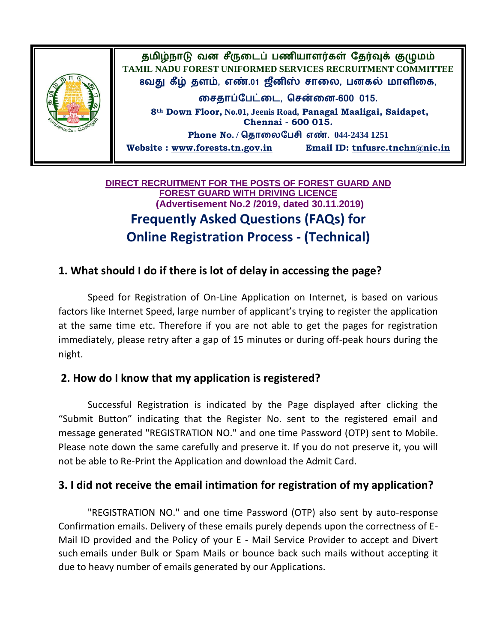

## **DIRECT RECRUITMENT FOR THE POSTS OF FOREST GUARD AND FOREST GUARD WITH DRIVING LICENCE (Advertisement No.2 /2019, dated 30.11.2019) Frequently Asked Questions (FAQs) for Online Registration Process - (Technical)**

## **1. What should I do if there is lot of delay in accessing the page?**

Speed for Registration of On-Line Application on Internet, is based on various factors like Internet Speed, large number of applicant's trying to register the application at the same time etc. Therefore if you are not able to get the pages for registration immediately, please retry after a gap of 15 minutes or during off-peak hours during the night.

### **2. How do I know that my application is registered?**

Successful Registration is indicated by the Page displayed after clicking the "Submit Button" indicating that the Register No. sent to the registered email and message generated "REGISTRATION NO." and one time Password (OTP) sent to Mobile. Please note down the same carefully and preserve it. If you do not preserve it, you will not be able to Re-Print the Application and download the Admit Card.

## **3. I did not receive the email intimation for registration of my application?**

"REGISTRATION NO." and one time Password (OTP) also sent by auto-response Confirmation emails. Delivery of these emails purely depends upon the correctness of E-Mail ID provided and the Policy of your E - Mail Service Provider to accept and Divert such emails under Bulk or Spam Mails or bounce back such mails without accepting it due to heavy number of emails generated by our Applications.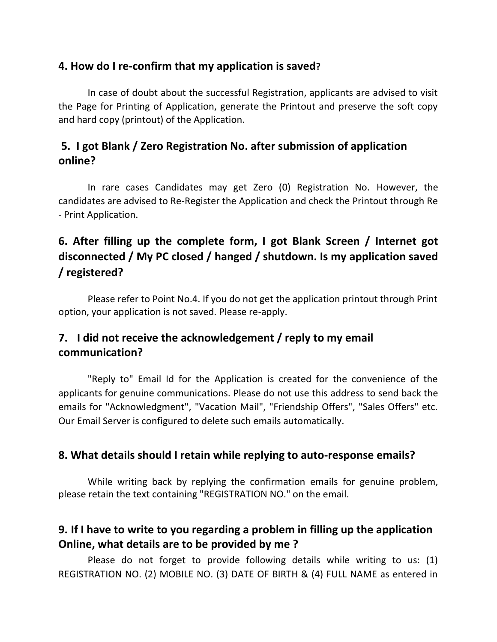## **4. How do I re-confirm that my application is saved?**

In case of doubt about the successful Registration, applicants are advised to visit the Page for Printing of Application, generate the Printout and preserve the soft copy and hard copy (printout) of the Application.

# **5. I got Blank / Zero Registration No. after submission of application online?**

In rare cases Candidates may get Zero (0) Registration No. However, the candidates are advised to Re-Register the Application and check the Printout through Re - Print Application.

# **6. After filling up the complete form, I got Blank Screen / Internet got disconnected / My PC closed / hanged / shutdown. Is my application saved / registered?**

Please refer to Point No.4. If you do not get the application printout through Print option, your application is not saved. Please re-apply.

# **7. I did not receive the acknowledgement / reply to my email communication?**

"Reply to" Email Id for the Application is created for the convenience of the applicants for genuine communications. Please do not use this address to send back the emails for "Acknowledgment", "Vacation Mail", "Friendship Offers", "Sales Offers" etc. Our Email Server is configured to delete such emails automatically.

### **8. What details should I retain while replying to auto-response emails?**

While writing back by replying the confirmation emails for genuine problem, please retain the text containing "REGISTRATION NO." on the email.

# **9. If I have to write to you regarding a problem in filling up the application Online, what details are to be provided by me ?**

Please do not forget to provide following details while writing to us: (1) REGISTRATION NO. (2) MOBILE NO. (3) DATE OF BIRTH & (4) FULL NAME as entered in